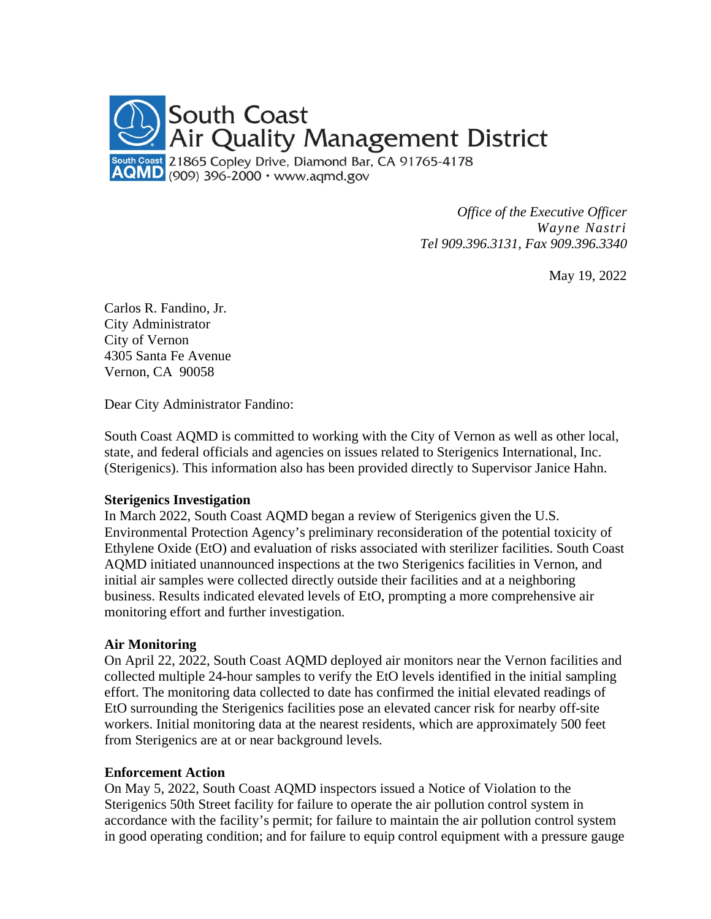

*Office of the Executive Officer Wayne Nastri Tel 909.396.3131, Fax 909.396.3340*

May 19, 2022

Carlos R. Fandino, Jr. City Administrator City of Vernon 4305 Santa Fe Avenue Vernon, CA 90058

Dear City Administrator Fandino:

South Coast AQMD is committed to working with the City of Vernon as well as other local, state, and federal officials and agencies on issues related to Sterigenics International, Inc. (Sterigenics). This information also has been provided directly to Supervisor Janice Hahn.

## **Sterigenics Investigation**

In March 2022, South Coast AQMD began a review of Sterigenics given the U.S. Environmental Protection Agency's preliminary reconsideration of the potential toxicity of Ethylene Oxide (EtO) and evaluation of risks associated with sterilizer facilities. South Coast AQMD initiated unannounced inspections at the two Sterigenics facilities in Vernon, and initial air samples were collected directly outside their facilities and at a neighboring business. Results indicated elevated levels of EtO, prompting a more comprehensive air monitoring effort and further investigation.

## **Air Monitoring**

On April 22, 2022, South Coast AQMD deployed air monitors near the Vernon facilities and collected multiple 24-hour samples to verify the EtO levels identified in the initial sampling effort. The monitoring data collected to date has confirmed the initial elevated readings of EtO surrounding the Sterigenics facilities pose an elevated cancer risk for nearby off-site workers. Initial monitoring data at the nearest residents, which are approximately 500 feet from Sterigenics are at or near background levels.

## **Enforcement Action**

On May 5, 2022, South Coast AQMD inspectors issued a Notice of Violation to the Sterigenics 50th Street facility for failure to operate the air pollution control system in accordance with the facility's permit; for failure to maintain the air pollution control system in good operating condition; and for failure to equip control equipment with a pressure gauge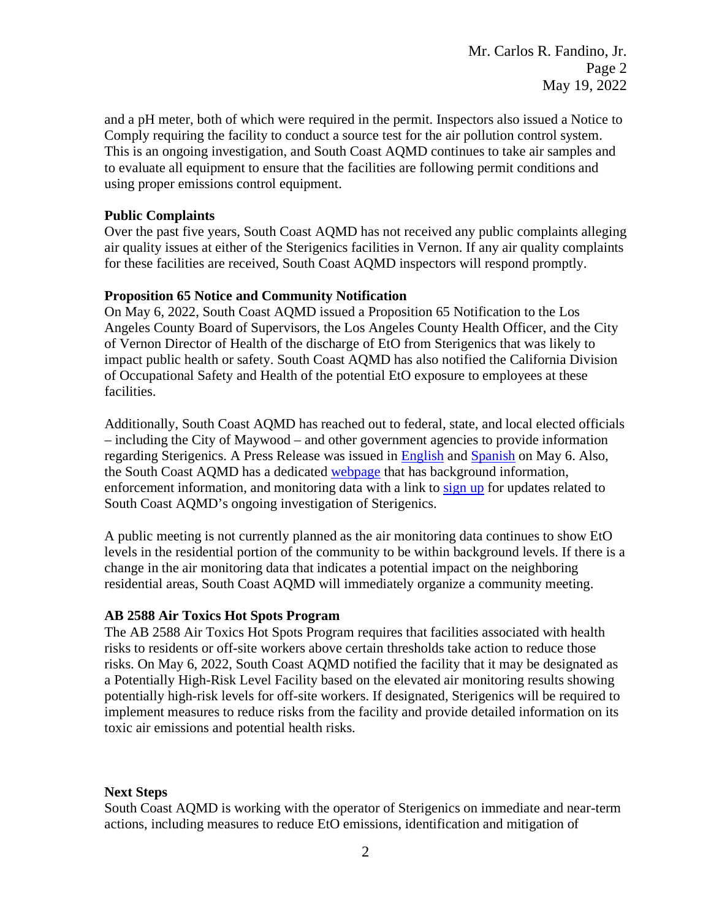and a pH meter, both of which were required in the permit. Inspectors also issued a Notice to Comply requiring the facility to conduct a source test for the air pollution control system. This is an ongoing investigation, and South Coast AQMD continues to take air samples and to evaluate all equipment to ensure that the facilities are following permit conditions and using proper emissions control equipment.

## **Public Complaints**

Over the past five years, South Coast AQMD has not received any public complaints alleging air quality issues at either of the Sterigenics facilities in Vernon. If any air quality complaints for these facilities are received, South Coast AQMD inspectors will respond promptly.

## **Proposition 65 Notice and Community Notification**

On May 6, 2022, South Coast AQMD issued a Proposition 65 Notification to the Los Angeles County Board of Supervisors, the Los Angeles County Health Officer, and the City of Vernon Director of Health of the discharge of EtO from Sterigenics that was likely to impact public health or safety. South Coast AQMD has also notified the California Division of Occupational Safety and Health of the potential EtO exposure to employees at these facilities.

Additionally, South Coast AQMD has reached out to federal, state, and local elected officials – including the City of Maywood – and other government agencies to provide information regarding Sterigenics. A Press Release was issued in [English](http://www.aqmd.gov/docs/default-source/news-archive/2022/sterigenics-may6-2022.pdf?sfvrsn=9) and [Spanish](http://www.aqmd.gov/docs/default-source/news-archive/2022/spanish/sterigenics-sp-may6-2022.pdf?sfvrsn=15) on May 6. Also, the South Coast AQMD has a dedicated [webpage](http://www.aqmd.gov/sterigenics) that has background information, enforcement information, and monitoring data with a link to [sign](http://www.aqmd.gov/sign-up) up for updates related to South Coast AQMD's ongoing investigation of Sterigenics.

A public meeting is not currently planned as the air monitoring data continues to show EtO levels in the residential portion of the community to be within background levels. If there is a change in the air monitoring data that indicates a potential impact on the neighboring residential areas, South Coast AQMD will immediately organize a community meeting.

# **AB 2588 Air Toxics Hot Spots Program**

The AB 2588 Air Toxics Hot Spots Program requires that facilities associated with health risks to residents or off-site workers above certain thresholds take action to reduce those risks. On May 6, 2022, South Coast AQMD notified the facility that it may be designated as a Potentially High-Risk Level Facility based on the elevated air monitoring results showing potentially high-risk levels for off-site workers. If designated, Sterigenics will be required to implement measures to reduce risks from the facility and provide detailed information on its toxic air emissions and potential health risks.

# **Next Steps**

South Coast AQMD is working with the operator of Sterigenics on immediate and near-term actions, including measures to reduce EtO emissions, identification and mitigation of